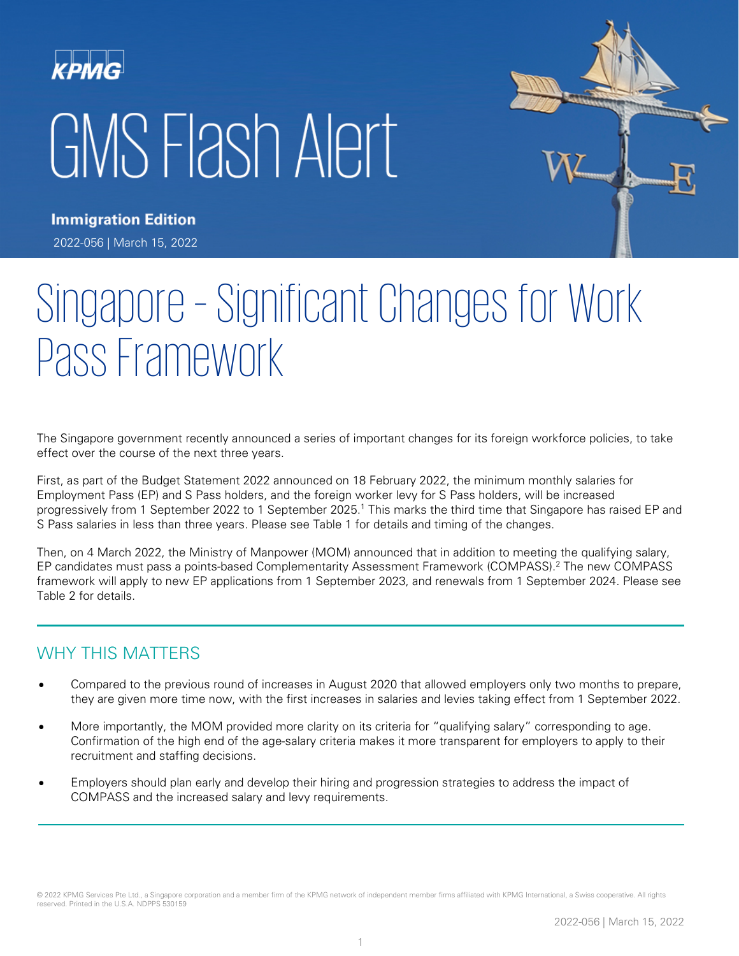# **KPMG** GMS Flash Alert



**Immigration Edition** 2022-056 | March 15, 2022

# Singapore – Significant Changes for Work Pass Framework

The Singapore government recently announced a series of important changes for its foreign workforce policies, to take effect over the course of the next three years.

First, as part of the Budget Statement 2022 announced on 18 February 2022, the minimum monthly salaries for Employment Pass (EP) and S Pass holders, and the foreign worker levy for S Pass holders, will be increased progressively from 1 September 2022 to 1 September 2025.<sup>1</sup> This marks the third time that Singapore has raised EP and S Pass salaries in less than three years. Please see Table 1 for details and timing of the changes.

Then, on 4 March 2022, the Ministry of Manpower (MOM) announced that in addition to meeting the qualifying salary, EP candidates must pass a points-based Complementarity Assessment Framework (COMPASS).<sup>2</sup> The new COMPASS framework will apply to new EP applications from 1 September 2023, and renewals from 1 September 2024. Please see Table 2 for details.

# WHY THIS MATTERS

- Compared to the previous round of increases in August 2020 that allowed employers only two months to prepare, they are given more time now, with the first increases in salaries and levies taking effect from 1 September 2022.
- More importantly, the MOM provided more clarity on its criteria for "qualifying salary" corresponding to age. Confirmation of the high end of the age-salary criteria makes it more transparent for employers to apply to their recruitment and staffing decisions.
- Employers should plan early and develop their hiring and progression strategies to address the impact of COMPASS and the increased salary and levy requirements.

© 2022 KPMG Services Pte Ltd., a Singapore corporation and a member firm of the KPMG network of independent member firms affiliated with KPMG International, a Swiss cooperative. All rights reserved. Printed in the U.S.A. NDPPS 530159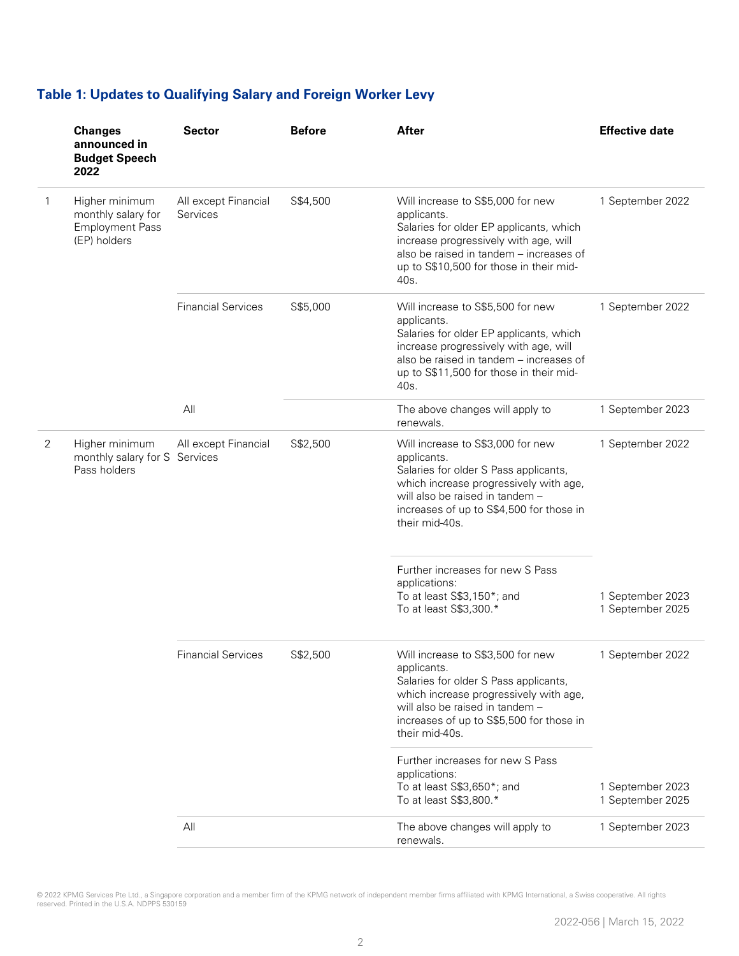|   | <b>Changes</b><br>announced in<br><b>Budget Speech</b><br>2022                 | <b>Sector</b>                    | <b>Before</b> | After                                                                                                                                                                                                                                | <b>Effective date</b>                |
|---|--------------------------------------------------------------------------------|----------------------------------|---------------|--------------------------------------------------------------------------------------------------------------------------------------------------------------------------------------------------------------------------------------|--------------------------------------|
| 1 | Higher minimum<br>monthly salary for<br><b>Employment Pass</b><br>(EP) holders | All except Financial<br>Services | S\$4,500      | Will increase to S\$5,000 for new<br>applicants.<br>Salaries for older EP applicants, which<br>increase progressively with age, will<br>also be raised in tandem - increases of<br>up to S\$10,500 for those in their mid-<br>40s.   | 1 September 2022                     |
|   |                                                                                | <b>Financial Services</b>        | S\$5,000      | Will increase to S\$5,500 for new<br>applicants.<br>Salaries for older EP applicants, which<br>increase progressively with age, will<br>also be raised in tandem - increases of<br>up to S\$11,500 for those in their mid-<br>40s.   | 1 September 2022                     |
|   |                                                                                | All                              |               | The above changes will apply to<br>renewals.                                                                                                                                                                                         | 1 September 2023                     |
| 2 | Higher minimum<br>monthly salary for S Services<br>Pass holders                | All except Financial             | S\$2,500      | Will increase to S\$3,000 for new<br>applicants.<br>Salaries for older S Pass applicants,<br>which increase progressively with age,<br>will also be raised in tandem -<br>increases of up to S\$4,500 for those in<br>their mid-40s. | 1 September 2022                     |
|   |                                                                                |                                  |               | Further increases for new S Pass<br>applications:<br>To at least S\$3,150*; and<br>To at least S\$3,300.*                                                                                                                            | 1 September 2023<br>1 September 2025 |
|   |                                                                                | <b>Financial Services</b>        | S\$2,500      | Will increase to S\$3,500 for new<br>applicants.<br>Salaries for older S Pass applicants,<br>which increase progressively with age,<br>will also be raised in tandem -<br>increases of up to S\$5,500 for those in<br>their mid-40s. | 1 September 2022                     |
|   |                                                                                |                                  |               | Further increases for new S Pass<br>applications:<br>To at least S\$3,650*; and<br>To at least S\$3,800.*                                                                                                                            | 1 September 2023<br>1 September 2025 |
|   |                                                                                | All                              |               | The above changes will apply to<br>renewals.                                                                                                                                                                                         | 1 September 2023                     |

### **Table 1: Updates to Qualifying Salary and Foreign Worker Levy**

© 2022 KPMG Services Pte Ltd., a Singapore corporation and a member firm of the KPMG network of independent member firms affiliated with KPMG International, a Swiss cooperative. All rights<br>reserved. Printed in the U.S.A. N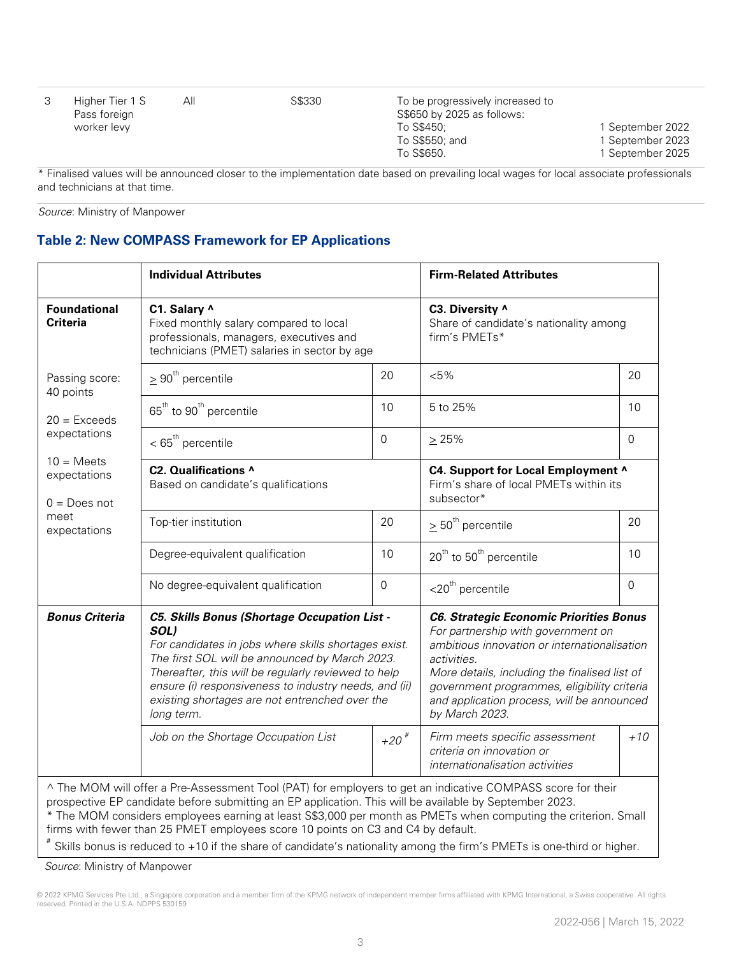|  | Higher Tier 1 S<br>Pass foreign<br>worker levy | Αll | S\$330 | To be progressively increased to<br>S\$650 by 2025 as follows:<br>To S\$450:<br>To S\$550; and<br>To S\$650. | 1 September 2022<br>1 September 2023<br>1 September 2025 |
|--|------------------------------------------------|-----|--------|--------------------------------------------------------------------------------------------------------------|----------------------------------------------------------|
|--|------------------------------------------------|-----|--------|--------------------------------------------------------------------------------------------------------------|----------------------------------------------------------|

\* Finalised values will be announced closer to the implementation date based on prevailing local wages for local associate professionals and technicians at that time.

Source: Ministry of Manpower

#### **Table 2: New COMPASS Framework for EP Applications**

|                                                | <b>Individual Attributes</b>                                                                                                                                                                                                                                                                                                                          | <b>Firm-Related Attributes</b>                                                                                                                                                                                                                                                                                      |                                                                                                                                                                                                                                                                                                                                                                                                                       |             |
|------------------------------------------------|-------------------------------------------------------------------------------------------------------------------------------------------------------------------------------------------------------------------------------------------------------------------------------------------------------------------------------------------------------|---------------------------------------------------------------------------------------------------------------------------------------------------------------------------------------------------------------------------------------------------------------------------------------------------------------------|-----------------------------------------------------------------------------------------------------------------------------------------------------------------------------------------------------------------------------------------------------------------------------------------------------------------------------------------------------------------------------------------------------------------------|-------------|
| <b>Foundational</b><br><b>Criteria</b>         | C1. Salary ^<br>Fixed monthly salary compared to local<br>professionals, managers, executives and<br>technicians (PMET) salaries in sector by age                                                                                                                                                                                                     | C3. Diversity ^<br>Share of candidate's nationality among<br>firm's PMETs*                                                                                                                                                                                                                                          |                                                                                                                                                                                                                                                                                                                                                                                                                       |             |
| Passing score:<br>40 points                    | $\geq 90^{\text{th}}$ percentile                                                                                                                                                                                                                                                                                                                      | 20                                                                                                                                                                                                                                                                                                                  | $< 5\%$                                                                                                                                                                                                                                                                                                                                                                                                               | 20          |
| $20 = Exceeds$                                 | $65th$ to $90th$ percentile                                                                                                                                                                                                                                                                                                                           | 10                                                                                                                                                                                                                                                                                                                  | 5 to 25%                                                                                                                                                                                                                                                                                                                                                                                                              | 10          |
| expectations                                   | $<$ 65 <sup>th</sup> percentile                                                                                                                                                                                                                                                                                                                       | $\Omega$                                                                                                                                                                                                                                                                                                            | $\geq 25\%$                                                                                                                                                                                                                                                                                                                                                                                                           | $\Omega$    |
| $10 = Meets$<br>expectations<br>$0 = Does not$ | C2. Qualifications ^<br>Based on candidate's qualifications                                                                                                                                                                                                                                                                                           | C4. Support for Local Employment ^<br>Firm's share of local PMETs within its<br>subsector*                                                                                                                                                                                                                          |                                                                                                                                                                                                                                                                                                                                                                                                                       |             |
| meet<br>expectations                           | Top-tier institution                                                                                                                                                                                                                                                                                                                                  | 20                                                                                                                                                                                                                                                                                                                  | $\geq 50^{th}$ percentile                                                                                                                                                                                                                                                                                                                                                                                             | 20          |
|                                                | Degree-equivalent qualification                                                                                                                                                                                                                                                                                                                       | 10                                                                                                                                                                                                                                                                                                                  | $20th$ to 50 $th$ percentile                                                                                                                                                                                                                                                                                                                                                                                          | 10          |
|                                                | No degree-equivalent qualification                                                                                                                                                                                                                                                                                                                    | $\mathbf 0$                                                                                                                                                                                                                                                                                                         | $<$ 20 <sup>th</sup> percentile                                                                                                                                                                                                                                                                                                                                                                                       | $\mathbf 0$ |
| <b>Bonus Criteria</b>                          | C5. Skills Bonus (Shortage Occupation List -<br>SOL)<br>For candidates in jobs where skills shortages exist.<br>The first SOL will be announced by March 2023.<br>Thereafter, this will be regularly reviewed to help<br>ensure (i) responsiveness to industry needs, and (ii)<br>existing shortages are not entrenched over the<br>long term.        | <b>C6. Strategic Economic Priorities Bonus</b><br>For partnership with government on<br>ambitious innovation or internationalisation<br>activities.<br>More details, including the finalised list of<br>government programmes, eligibility criteria<br>and application process, will be announced<br>by March 2023. |                                                                                                                                                                                                                                                                                                                                                                                                                       |             |
|                                                | Job on the Shortage Occupation List<br>$\land$ TL = $\land$ $A(\bigcap A_111)$ = $f(x_1)$ = $\bigcap_{x=1}^{\infty}$ $A = 1$ = $x_1 + x_2 + x_3 + x_4 + x_5 + x_6 + x_7 + x_8 + x_9 + x_1x_2 + x_2x_3 + x_6 + x_7 + x_8 + x_9 + x_1x_2 + x_3x_4 + x_1x_2 + x_3x_4 + x_4x_5 + x_6 + x_7 + x_8 + x_9 + x_1x_2 + x_3x_4 + x_1x_3 + x_2x_4 + x_3x_5 + x_$ | $+20$ <sup>#</sup>                                                                                                                                                                                                                                                                                                  | Firm meets specific assessment<br>criteria on innovation or<br>internationalisation activities<br>$\frac{1}{2}$ $\frac{1}{2}$ $\frac{1}{2}$ $\frac{1}{2}$ $\frac{1}{2}$ $\frac{1}{2}$ $\frac{1}{2}$ $\frac{1}{2}$ $\frac{1}{2}$ $\frac{1}{2}$ $\frac{1}{2}$ $\frac{1}{2}$ $\frac{1}{2}$ $\frac{1}{2}$ $\frac{1}{2}$ $\frac{1}{2}$ $\frac{1}{2}$ $\frac{1}{2}$ $\frac{1}{2}$ $\frac{1}{2}$ $\frac{1}{2}$ $\frac{1}{2}$ | $+10$       |

^ The MOM will offer a Pre-Assessment Tool (PAT) for employers to get an indicative COMPASS score for their prospective EP candidate before submitting an EP application. This will be available by September 2023. \* The MOM considers employees earning at least S\$3,000 per month as PMETs when computing the criterion. Small

firms with fewer than 25 PMET employees score 10 points on C3 and C4 by default.<br># Skills bonus is reduced to +10 if the share of candidate's nationality among the firm's PMETs is one-third or higher.

Source: Ministry of Manpower

<sup>© 2022</sup> KPMG Services Pte Ltd., a Singapore corporation and a member firm of the KPMG network of independent member firms affiliated with KPMG International, a Swiss cooperative. All rights reserved. Printed in the U.S.A. NDPPS 530159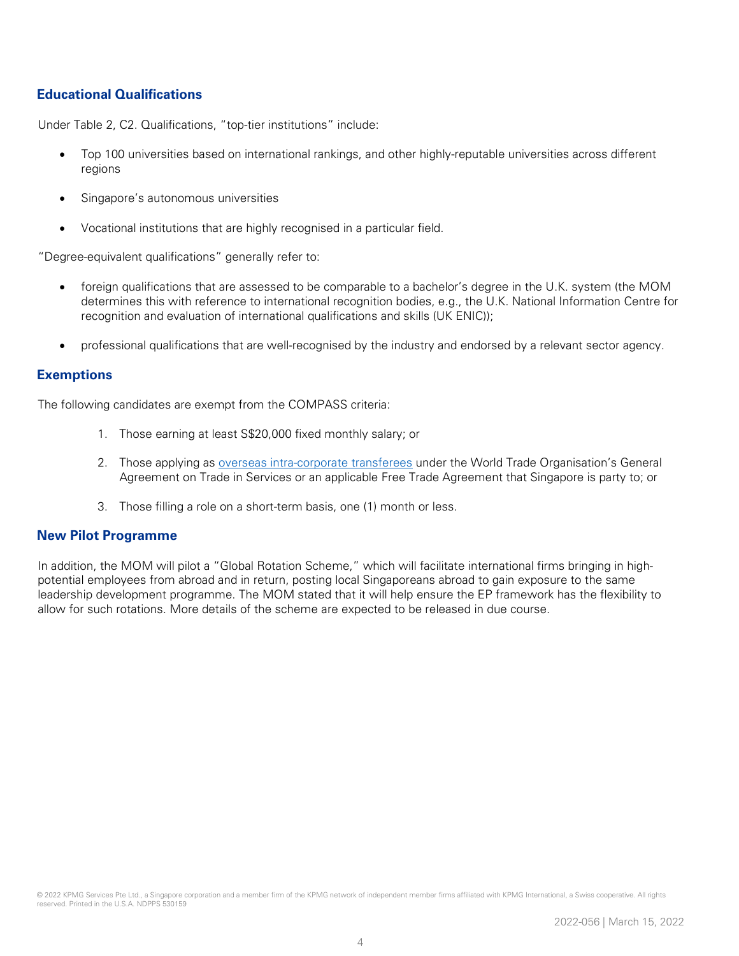#### **Educational Qualifications**

Under Table 2, C2. Qualifications, "top-tier institutions" include:

- Top 100 universities based on international rankings, and other highly-reputable universities across different regions
- Singapore's autonomous universities
- Vocational institutions that are highly recognised in a particular field.

"Degree-equivalent qualifications" generally refer to:

- foreign qualifications that are assessed to be comparable to a bachelor's degree in the U.K. system (the MOM determines this with reference to international recognition bodies, e.g., the U.K. National Information Centre for recognition and evaluation of international qualifications and skills (UK ENIC));
- professional qualifications that are well-recognised by the industry and endorsed by a relevant sector agency.

#### **Exemptions**

The following candidates are exempt from the COMPASS criteria:

- 1. Those earning at least S\$20,000 fixed monthly salary; or
- 2. Those applying as **overseas intra-corporate transferees** under the World Trade Organisation's General Agreement on Trade in Services or an applicable Free Trade Agreement that Singapore is party to; or
- 3. Those filling a role on a short-term basis, one (1) month or less.

#### **New Pilot Programme**

In addition, the MOM will pilot a "Global Rotation Scheme," which will facilitate international firms bringing in highpotential employees from abroad and in return, posting local Singaporeans abroad to gain exposure to the same leadership development programme. The MOM stated that it will help ensure the EP framework has the flexibility to allow for such rotations. More details of the scheme are expected to be released in due course.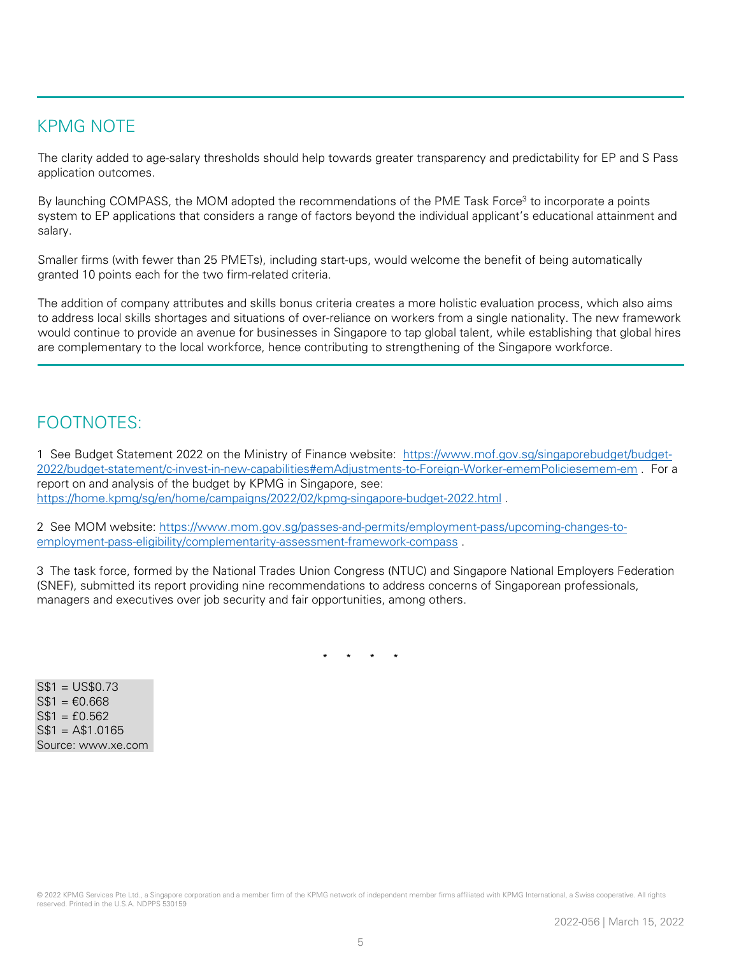## KPMG NOTE

The clarity added to age-salary thresholds should help towards greater transparency and predictability for EP and S Pass application outcomes.

By launching COMPASS, the MOM adopted the recommendations of the PME Task Force<sup>3</sup> to incorporate a points system to EP applications that considers a range of factors beyond the individual applicant's educational attainment and salary.

Smaller firms (with fewer than 25 PMETs), including start-ups, would welcome the benefit of being automatically granted 10 points each for the two firm-related criteria.

The addition of company attributes and skills bonus criteria creates a more holistic evaluation process, which also aims to address local skills shortages and situations of over-reliance on workers from a single nationality. The new framework would continue to provide an avenue for businesses in Singapore to tap global talent, while establishing that global hires are complementary to the local workforce, hence contributing to strengthening of the Singapore workforce.

# FOOTNOTES:

1 See Budget Statement 2022 on the Ministry of Finance website: [https://www.mof.gov.sg/singaporebudget/budget-](https://www.mof.gov.sg/singaporebudget/budget-2022/budget-statement/c-invest-in-new-capabilities#emAdjustments-to-Foreign-Worker-ememPoliciesemem-em)[2022/budget-statement/c-invest-in-new-capabilities#emAdjustments-to-Foreign-Worker-ememPoliciesemem-em](https://www.mof.gov.sg/singaporebudget/budget-2022/budget-statement/c-invest-in-new-capabilities#emAdjustments-to-Foreign-Worker-ememPoliciesemem-em) . For a report on and analysis of the budget by KPMG in Singapore, see: <https://home.kpmg/sg/en/home/campaigns/2022/02/kpmg-singapore-budget-2022.html> .

2 See MOM website: [https://www.mom.gov.sg/passes-and-permits/employment-pass/upcoming-changes-to](https://www.mom.gov.sg/passes-and-permits/employment-pass/upcoming-changes-to-employment-pass-eligibility/complementarity-assessment-framework-compass)[employment-pass-eligibility/complementarity-assessment-framework-compass](https://www.mom.gov.sg/passes-and-permits/employment-pass/upcoming-changes-to-employment-pass-eligibility/complementarity-assessment-framework-compass) .

3 The task force, formed by the National Trades Union Congress (NTUC) and Singapore National Employers Federation (SNEF), submitted its report providing nine recommendations to address concerns of Singaporean professionals, managers and executives over job security and fair opportunities, among others.

\* \* \* \*

S\$1 = US\$0.73  $S$1 = £0.668$  $S$1 = £0.562$  $S$1 = A$1.0165$ Source: www.xe.com